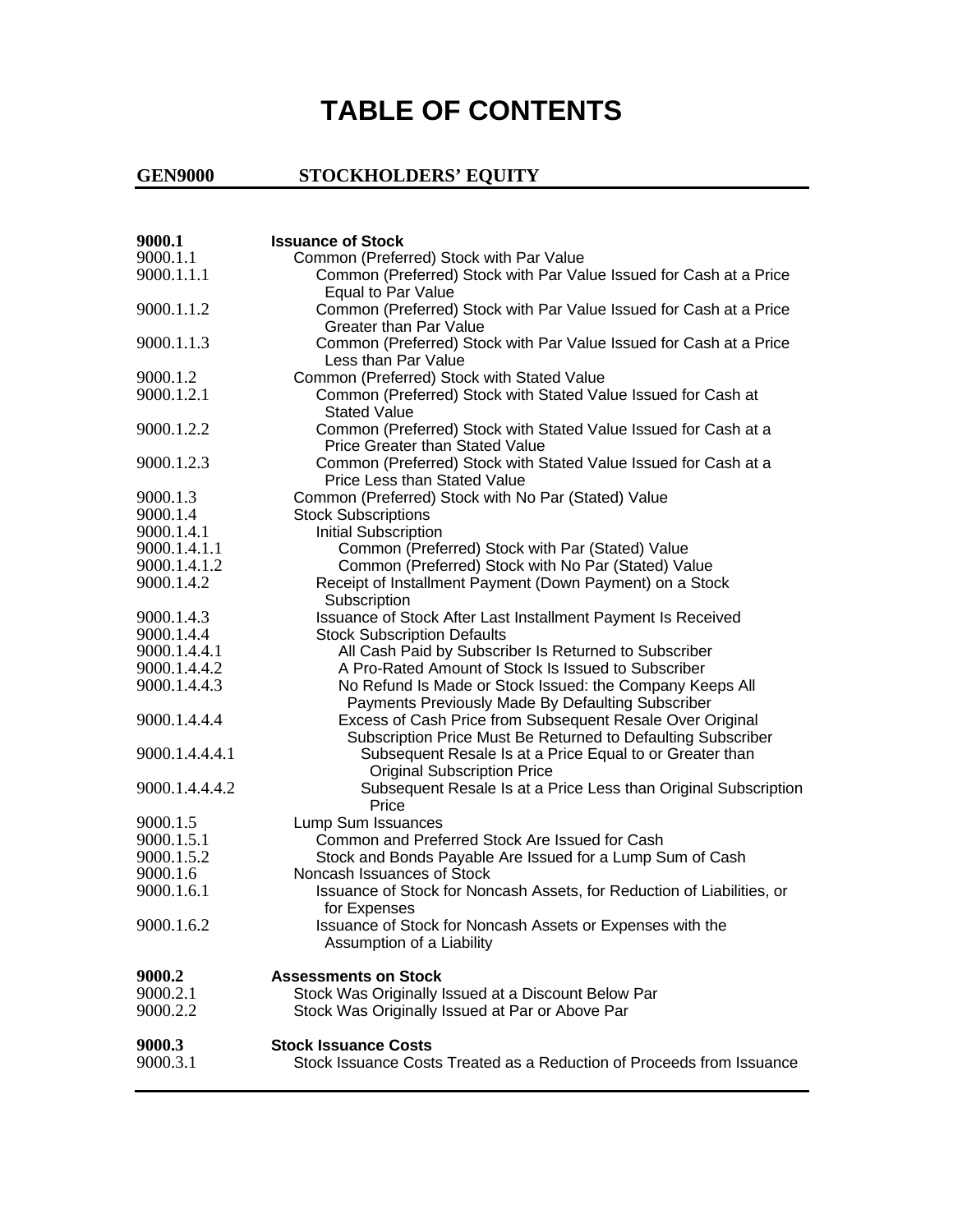## **TABLE OF CONTENTS**

## **GEN9000 STOCKHOLDERS' EQUITY**

| 9000.1         | <b>Issuance of Stock</b>                                                                                                 |
|----------------|--------------------------------------------------------------------------------------------------------------------------|
| 9000.1.1       | Common (Preferred) Stock with Par Value                                                                                  |
| 9000.1.1.1     | Common (Preferred) Stock with Par Value Issued for Cash at a Price<br>Equal to Par Value                                 |
| 9000.1.1.2     | Common (Preferred) Stock with Par Value Issued for Cash at a Price<br><b>Greater than Par Value</b>                      |
| 9000.1.1.3     | Common (Preferred) Stock with Par Value Issued for Cash at a Price<br>Less than Par Value                                |
| 9000.1.2       | Common (Preferred) Stock with Stated Value                                                                               |
| 9000.1.2.1     | Common (Preferred) Stock with Stated Value Issued for Cash at<br><b>Stated Value</b>                                     |
| 9000.1.2.2     | Common (Preferred) Stock with Stated Value Issued for Cash at a<br>Price Greater than Stated Value                       |
| 9000.1.2.3     | Common (Preferred) Stock with Stated Value Issued for Cash at a<br>Price Less than Stated Value                          |
| 9000.1.3       | Common (Preferred) Stock with No Par (Stated) Value                                                                      |
| 9000.1.4       | <b>Stock Subscriptions</b>                                                                                               |
| 9000.1.4.1     | <b>Initial Subscription</b>                                                                                              |
| 9000.1.4.1.1   | Common (Preferred) Stock with Par (Stated) Value                                                                         |
| 9000.1.4.1.2   | Common (Preferred) Stock with No Par (Stated) Value                                                                      |
| 9000.1.4.2     | Receipt of Installment Payment (Down Payment) on a Stock<br>Subscription                                                 |
| 9000.1.4.3     | Issuance of Stock After Last Installment Payment Is Received                                                             |
| 9000.1.4.4     | <b>Stock Subscription Defaults</b>                                                                                       |
| 9000.1.4.4.1   | All Cash Paid by Subscriber Is Returned to Subscriber                                                                    |
| 9000.1.4.4.2   | A Pro-Rated Amount of Stock Is Issued to Subscriber                                                                      |
| 9000.1.4.4.3   | No Refund Is Made or Stock Issued: the Company Keeps All<br>Payments Previously Made By Defaulting Subscriber            |
| 9000.1.4.4.4   | Excess of Cash Price from Subsequent Resale Over Original                                                                |
| 9000.1.4.4.4.1 | Subscription Price Must Be Returned to Defaulting Subscriber<br>Subsequent Resale Is at a Price Equal to or Greater than |
|                | <b>Original Subscription Price</b>                                                                                       |
| 9000.1.4.4.4.2 | Subsequent Resale Is at a Price Less than Original Subscription<br>Price                                                 |
| 9000.1.5       | Lump Sum Issuances                                                                                                       |
| 9000.1.5.1     | Common and Preferred Stock Are Issued for Cash                                                                           |
| 9000.1.5.2     | Stock and Bonds Payable Are Issued for a Lump Sum of Cash                                                                |
| 9000.1.6       | Noncash Issuances of Stock                                                                                               |
| 9000.1.6.1     | Issuance of Stock for Noncash Assets, for Reduction of Liabilities, or<br>for Expenses                                   |
| 9000.1.6.2     | Issuance of Stock for Noncash Assets or Expenses with the<br>Assumption of a Liability                                   |
| 9000.2         | <b>Assessments on Stock</b>                                                                                              |
| 9000.2.1       | Stock Was Originally Issued at a Discount Below Par                                                                      |
| 9000.2.2       | Stock Was Originally Issued at Par or Above Par                                                                          |
| 9000.3         | <b>Stock Issuance Costs</b>                                                                                              |
| 9000.3.1       | Stock Issuance Costs Treated as a Reduction of Proceeds from Issuance                                                    |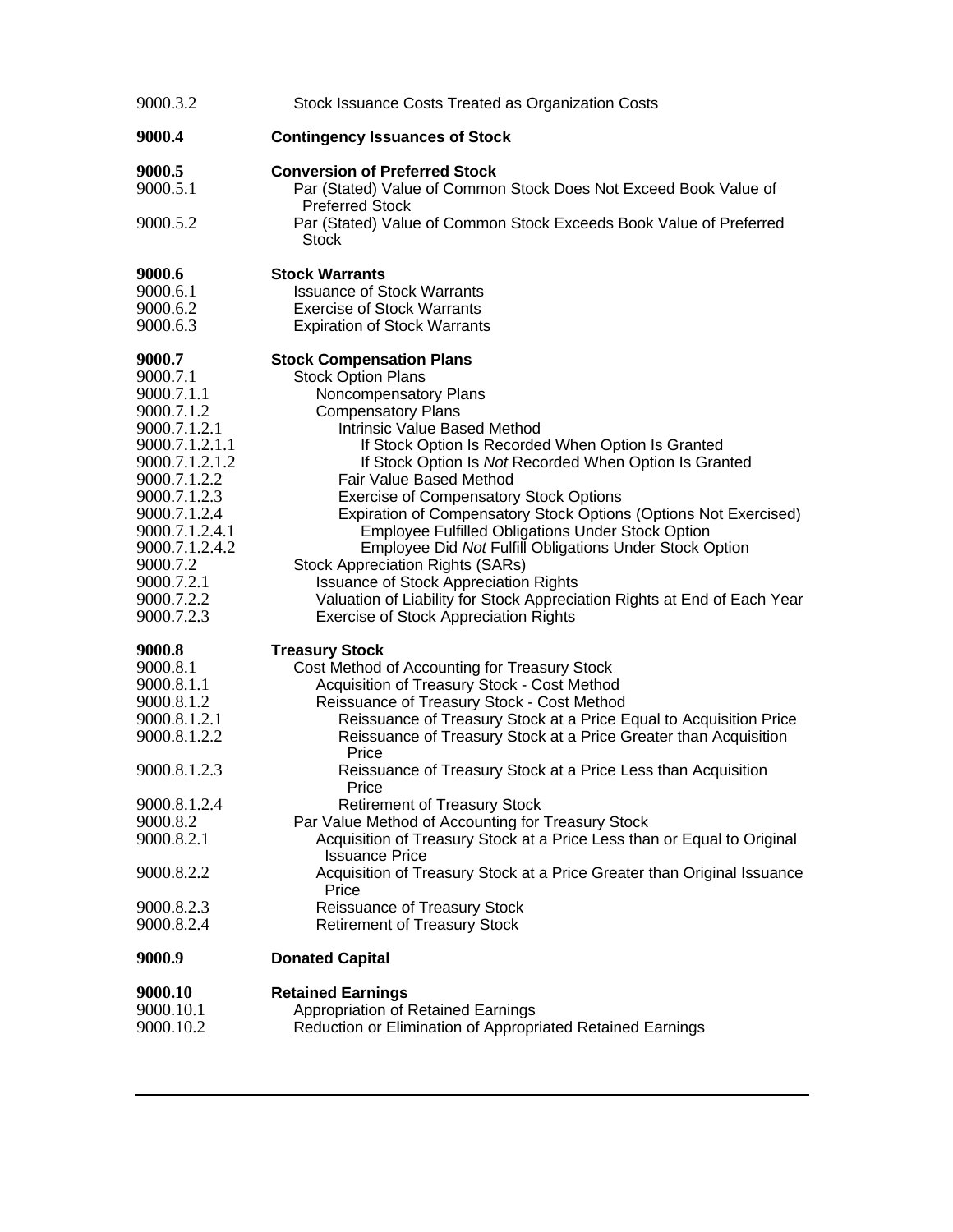| 9000.3.2                 | Stock Issuance Costs Treated as Organization Costs                                                                       |
|--------------------------|--------------------------------------------------------------------------------------------------------------------------|
| 9000.4                   | <b>Contingency Issuances of Stock</b>                                                                                    |
| 9000.5                   | <b>Conversion of Preferred Stock</b>                                                                                     |
| 9000.5.1                 | Par (Stated) Value of Common Stock Does Not Exceed Book Value of<br><b>Preferred Stock</b>                               |
| 9000.5.2                 | Par (Stated) Value of Common Stock Exceeds Book Value of Preferred<br>Stock                                              |
| 9000.6                   | <b>Stock Warrants</b>                                                                                                    |
| 9000.6.1                 | <b>Issuance of Stock Warrants</b>                                                                                        |
| 9000.6.2                 | <b>Exercise of Stock Warrants</b>                                                                                        |
| 9000.6.3                 | <b>Expiration of Stock Warrants</b>                                                                                      |
| 9000.7                   | <b>Stock Compensation Plans</b>                                                                                          |
| 9000.7.1                 | <b>Stock Option Plans</b>                                                                                                |
| 9000.7.1.1               | Noncompensatory Plans                                                                                                    |
| 9000.7.1.2               | <b>Compensatory Plans</b>                                                                                                |
| 9000.7.1.2.1             | Intrinsic Value Based Method                                                                                             |
| 9000.7.1.2.1.1           | If Stock Option Is Recorded When Option Is Granted                                                                       |
| 9000.7.1.2.1.2           | If Stock Option Is Not Recorded When Option Is Granted                                                                   |
| 9000.7.1.2.2             | Fair Value Based Method                                                                                                  |
| 9000.7.1.2.3             | <b>Exercise of Compensatory Stock Options</b>                                                                            |
| 9000.7.1.2.4             | Expiration of Compensatory Stock Options (Options Not Exercised)                                                         |
| 9000.7.1.2.4.1           | <b>Employee Fulfilled Obligations Under Stock Option</b>                                                                 |
| 9000.7.1.2.4.2           | Employee Did Not Fulfill Obligations Under Stock Option                                                                  |
| 9000.7.2                 | <b>Stock Appreciation Rights (SARs)</b>                                                                                  |
| 9000.7.2.1<br>9000.7.2.2 | <b>Issuance of Stock Appreciation Rights</b>                                                                             |
| 9000.7.2.3               | Valuation of Liability for Stock Appreciation Rights at End of Each Year<br><b>Exercise of Stock Appreciation Rights</b> |
| 9000.8                   | <b>Treasury Stock</b>                                                                                                    |
| 9000.8.1                 | Cost Method of Accounting for Treasury Stock                                                                             |
| 9000.8.1.1               | Acquisition of Treasury Stock - Cost Method                                                                              |
| 9000.8.1.2               | Reissuance of Treasury Stock - Cost Method                                                                               |
| 9000.8.1.2.1             | Reissuance of Treasury Stock at a Price Equal to Acquisition Price                                                       |
| 9000.8.1.2.2             | Reissuance of Treasury Stock at a Price Greater than Acquisition<br>Price                                                |
| 9000.8.1.2.3             | Reissuance of Treasury Stock at a Price Less than Acquisition<br>Price                                                   |
| 9000.8.1.2.4             | <b>Retirement of Treasury Stock</b>                                                                                      |
| 9000.8.2                 | Par Value Method of Accounting for Treasury Stock                                                                        |
| 9000.8.2.1               | Acquisition of Treasury Stock at a Price Less than or Equal to Original<br><b>Issuance Price</b>                         |
| 9000.8.2.2               | Acquisition of Treasury Stock at a Price Greater than Original Issuance<br>Price                                         |
| 9000.8.2.3               | Reissuance of Treasury Stock                                                                                             |
| 9000.8.2.4               | <b>Retirement of Treasury Stock</b>                                                                                      |
| 9000.9                   | <b>Donated Capital</b>                                                                                                   |
| 9000.10                  | <b>Retained Earnings</b>                                                                                                 |
| 9000.10.1                | Appropriation of Retained Earnings                                                                                       |
| 9000.10.2                | Reduction or Elimination of Appropriated Retained Earnings                                                               |
|                          |                                                                                                                          |